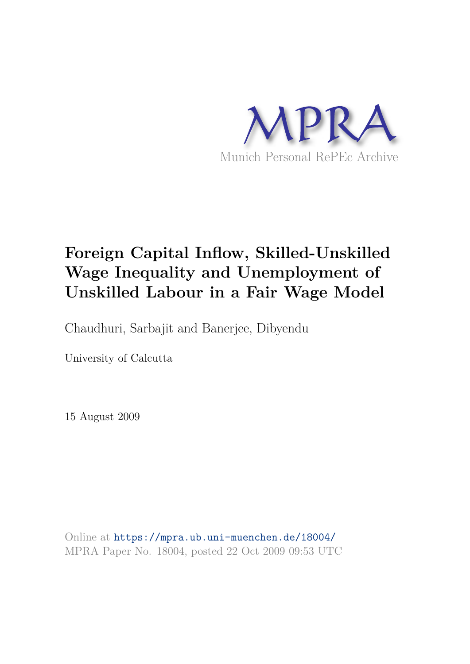

# **Foreign Capital Inflow, Skilled-Unskilled Wage Inequality and Unemployment of Unskilled Labour in a Fair Wage Model**

Chaudhuri, Sarbajit and Banerjee, Dibyendu

University of Calcutta

15 August 2009

Online at https://mpra.ub.uni-muenchen.de/18004/ MPRA Paper No. 18004, posted 22 Oct 2009 09:53 UTC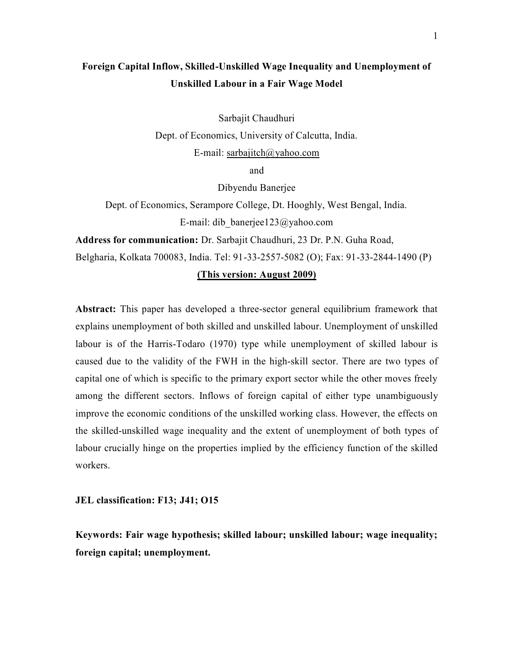## **Foreign Capital Inflow, Skilled-Unskilled Wage Inequality and Unemployment of Unskilled Labour in a Fair Wage Model**

Sarbajit Chaudhuri

Dept. of Economics, University of Calcutta, India.

E-mail: sarbajitch@yahoo.com

and

Dibyendu Banerjee

Dept. of Economics, Serampore College, Dt. Hooghly, West Bengal, India. E-mail: dib\_banerjee123@yahoo.com

**Address for communication:** Dr. Sarbajit Chaudhuri, 23 Dr. P.N. Guha Road,

Belgharia, Kolkata 700083, India. Tel: 91-33-2557-5082 (O); Fax: 91-33-2844-1490 (P)

#### **(This version: August 2009)**

**Abstract:** This paper has developed a three-sector general equilibrium framework that explains unemployment of both skilled and unskilled labour. Unemployment of unskilled labour is of the Harris-Todaro (1970) type while unemployment of skilled labour is caused due to the validity of the FWH in the high-skill sector. There are two types of capital one of which is specific to the primary export sector while the other moves freely among the different sectors. Inflows of foreign capital of either type unambiguously improve the economic conditions of the unskilled working class. However, the effects on the skilled-unskilled wage inequality and the extent of unemployment of both types of labour crucially hinge on the properties implied by the efficiency function of the skilled workers.

**JEL classification: F13; J41; O15**

**Keywords: Fair wage hypothesis; skilled labour; unskilled labour; wage inequality; foreign capital; unemployment.**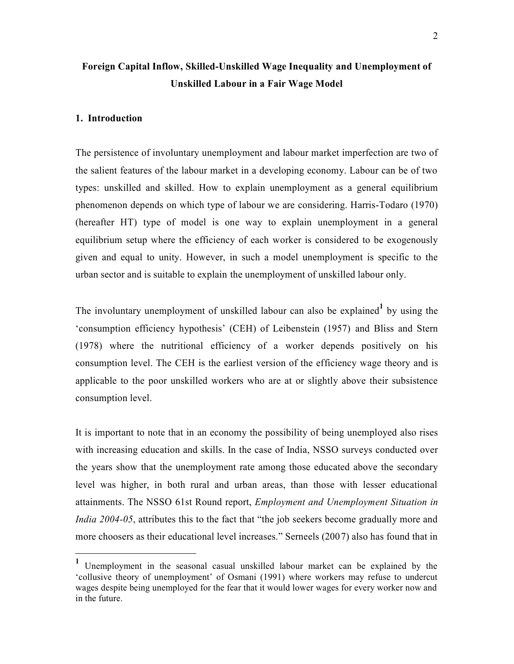## **Foreign Capital Inflow, Skilled-Unskilled Wage Inequality and Unemployment of Unskilled Labour in a Fair Wage Model**

#### **1. Introduction**

-

The persistence of involuntary unemployment and labour market imperfection are two of the salient features of the labour market in a developing economy. Labour can be of two types: unskilled and skilled. How to explain unemployment as a general equilibrium phenomenon depends on which type of labour we are considering. Harris-Todaro (1970) (hereafter HT) type of model is one way to explain unemployment in a general equilibrium setup where the efficiency of each worker is considered to be exogenously given and equal to unity. However, in such a model unemployment is specific to the urban sector and is suitable to explain the unemployment of unskilled labour only.

The involuntary unemployment of unskilled labour can also be explained<sup>1</sup> by using the 'consumption efficiency hypothesis' (CEH) of Leibenstein (1957) and Bliss and Stern (1978) where the nutritional efficiency of a worker depends positively on his consumption level. The CEH is the earliest version of the efficiency wage theory and is applicable to the poor unskilled workers who are at or slightly above their subsistence consumption level.

It is important to note that in an economy the possibility of being unemployed also rises with increasing education and skills. In the case of India, NSSO surveys conducted over the years show that the unemployment rate among those educated above the secondary level was higher, in both rural and urban areas, than those with lesser educational attainments. The NSSO 61st Round report, *Employment and Unemployment Situation in India 2004-05*, attributes this to the fact that "the job seekers become gradually more and more choosers as their educational level increases." Serneels (2007) also has found that in

**<sup>1</sup>** Unemployment in the seasonal casual unskilled labour market can be explained by the 'collusive theory of unemployment' of Osmani (1991) where workers may refuse to undercut wages despite being unemployed for the fear that it would lower wages for every worker now and in the future.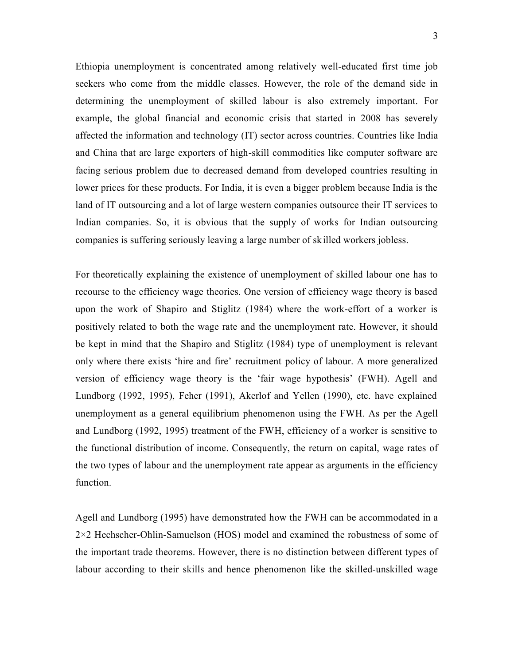Ethiopia unemployment is concentrated among relatively well-educated first time job seekers who come from the middle classes. However, the role of the demand side in determining the unemployment of skilled labour is also extremely important. For example, the global financial and economic crisis that started in 2008 has severely affected the information and technology (IT) sector across countries. Countries like India and China that are large exporters of high-skill commodities like computer software are facing serious problem due to decreased demand from developed countries resulting in lower prices for these products. For India, it is even a bigger problem because India is the land of IT outsourcing and a lot of large western companies outsource their IT services to Indian companies. So, it is obvious that the supply of works for Indian outsourcing companies is suffering seriously leaving a large number of skilled workers jobless.

For theoretically explaining the existence of unemployment of skilled labour one has to recourse to the efficiency wage theories. One version of efficiency wage theory is based upon the work of Shapiro and Stiglitz (1984) where the work-effort of a worker is positively related to both the wage rate and the unemployment rate. However, it should be kept in mind that the Shapiro and Stiglitz (1984) type of unemployment is relevant only where there exists 'hire and fire' recruitment policy of labour. A more generalized version of efficiency wage theory is the 'fair wage hypothesis' (FWH). Agell and Lundborg (1992, 1995), Feher (1991), Akerlof and Yellen (1990), etc. have explained unemployment as a general equilibrium phenomenon using the FWH. As per the Agell and Lundborg (1992, 1995) treatment of the FWH, efficiency of a worker is sensitive to the functional distribution of income. Consequently, the return on capital, wage rates of the two types of labour and the unemployment rate appear as arguments in the efficiency function.

Agell and Lundborg (1995) have demonstrated how the FWH can be accommodated in a 2×2 Hechscher-Ohlin-Samuelson (HOS) model and examined the robustness of some of the important trade theorems. However, there is no distinction between different types of labour according to their skills and hence phenomenon like the skilled-unskilled wage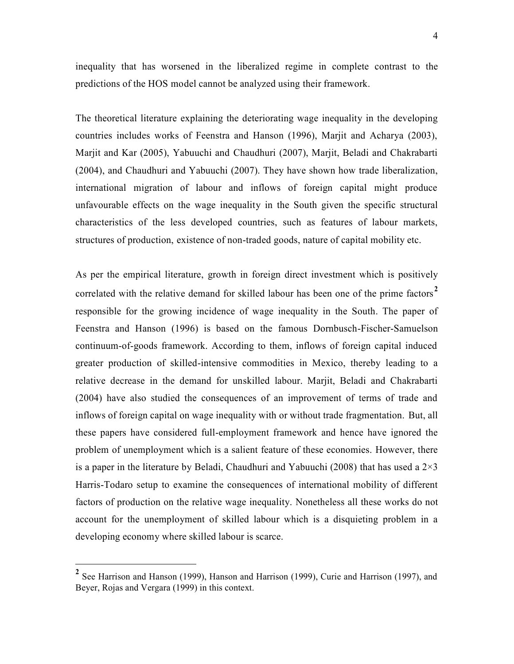inequality that has worsened in the liberalized regime in complete contrast to the predictions of the HOS model cannot be analyzed using their framework.

The theoretical literature explaining the deteriorating wage inequality in the developing countries includes works of Feenstra and Hanson (1996), Marjit and Acharya (2003), Marjit and Kar (2005), Yabuuchi and Chaudhuri (2007), Marjit, Beladi and Chakrabarti (2004), and Chaudhuri and Yabuuchi (2007). They have shown how trade liberalization, international migration of labour and inflows of foreign capital might produce unfavourable effects on the wage inequality in the South given the specific structural characteristics of the less developed countries, such as features of labour markets, structures of production, existence of non-traded goods, nature of capital mobility etc.

As per the empirical literature, growth in foreign direct investment which is positively correlated with the relative demand for skilled labour has been one of the prime factors**<sup>2</sup>** responsible for the growing incidence of wage inequality in the South. The paper of Feenstra and Hanson (1996) is based on the famous Dornbusch-Fischer-Samuelson continuum-of-goods framework. According to them, inflows of foreign capital induced greater production of skilled-intensive commodities in Mexico, thereby leading to a relative decrease in the demand for unskilled labour. Marjit, Beladi and Chakrabarti (2004) have also studied the consequences of an improvement of terms of trade and inflows of foreign capital on wage inequality with or without trade fragmentation. But, all these papers have considered full-employment framework and hence have ignored the problem of unemployment which is a salient feature of these economies. However, there is a paper in the literature by Beladi, Chaudhuri and Yabuuchi (2008) that has used a  $2\times3$ Harris-Todaro setup to examine the consequences of international mobility of different factors of production on the relative wage inequality. Nonetheless all these works do not account for the unemployment of skilled labour which is a disquieting problem in a developing economy where skilled labour is scarce.

-

<sup>&</sup>lt;sup>2</sup> See Harrison and Hanson (1999), Hanson and Harrison (1999), Curie and Harrison (1997), and Beyer, Rojas and Vergara (1999) in this context.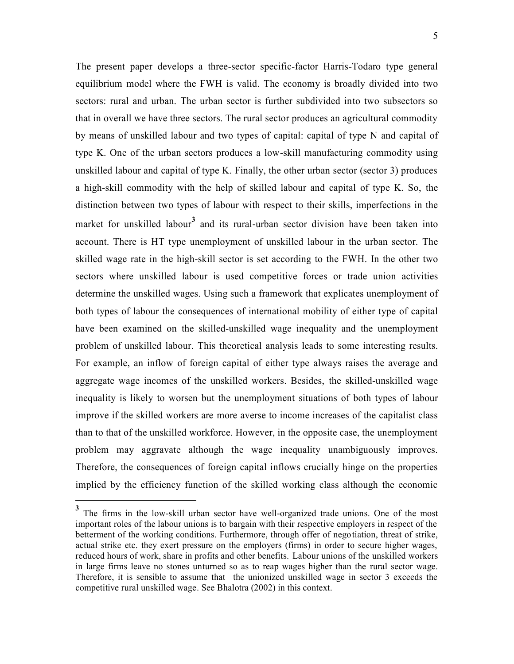The present paper develops a three-sector specific-factor Harris-Todaro type general equilibrium model where the FWH is valid. The economy is broadly divided into two sectors: rural and urban. The urban sector is further subdivided into two subsectors so that in overall we have three sectors. The rural sector produces an agricultural commodity by means of unskilled labour and two types of capital: capital of type N and capital of type K. One of the urban sectors produces a low-skill manufacturing commodity using unskilled labour and capital of type K. Finally, the other urban sector (sector 3) produces a high-skill commodity with the help of skilled labour and capital of type K. So, the distinction between two types of labour with respect to their skills, imperfections in the market for unskilled labour<sup>3</sup> and its rural-urban sector division have been taken into account. There is HT type unemployment of unskilled labour in the urban sector. The skilled wage rate in the high-skill sector is set according to the FWH. In the other two

sectors where unskilled labour is used competitive forces or trade union activities determine the unskilled wages. Using such a framework that explicates unemployment of both types of labour the consequences of international mobility of either type of capital have been examined on the skilled-unskilled wage inequality and the unemployment problem of unskilled labour. This theoretical analysis leads to some interesting results. For example, an inflow of foreign capital of either type always raises the average and aggregate wage incomes of the unskilled workers. Besides, the skilled-unskilled wage inequality is likely to worsen but the unemployment situations of both types of labour improve if the skilled workers are more averse to income increases of the capitalist class than to that of the unskilled workforce. However, in the opposite case, the unemployment problem may aggravate although the wage inequality unambiguously improves. Therefore, the consequences of foreign capital inflows crucially hinge on the properties implied by the efficiency function of the skilled working class although the economic

-

<sup>&</sup>lt;sup>3</sup> The firms in the low-skill urban sector have well-organized trade unions. One of the most important roles of the labour unions is to bargain with their respective employers in respect of the betterment of the working conditions. Furthermore, through offer of negotiation, threat of strike, actual strike etc. they exert pressure on the employers (firms) in order to secure higher wages, reduced hours of work, share in profits and other benefits. Labour unions of the unskilled workers in large firms leave no stones unturned so as to reap wages higher than the rural sector wage. Therefore, it is sensible to assume that the unionized unskilled wage in sector 3 exceeds the competitive rural unskilled wage. See Bhalotra (2002) in this context.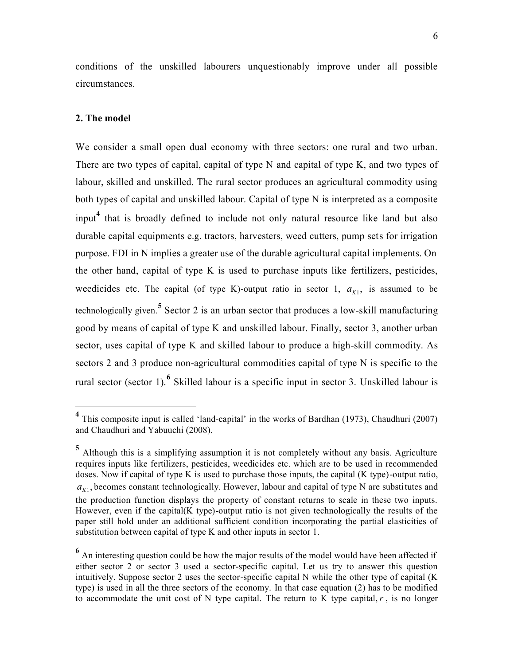conditions of the unskilled labourers unquestionably improve under all possible circumstances.

#### **2. The model**

-

We consider a small open dual economy with three sectors: one rural and two urban. There are two types of capital, capital of type N and capital of type K, and two types of labour, skilled and unskilled. The rural sector produces an agricultural commodity using both types of capital and unskilled labour. Capital of type N is interpreted as a composite input**<sup>4</sup>** that is broadly defined to include not only natural resource like land but also durable capital equipments e.g. tractors, harvesters, weed cutters, pump sets for irrigation purpose. FDI in N implies a greater use of the durable agricultural capital implements. On the other hand, capital of type K is used to purchase inputs like fertilizers, pesticides, weedicides etc. The capital (of type K)-output ratio in sector 1,  $a_{K1}$ , is assumed to be technologically given.**<sup>5</sup>** Sector 2 is an urban sector that produces a low-skill manufacturing good by means of capital of type K and unskilled labour. Finally, sector 3, another urban sector, uses capital of type K and skilled labour to produce a high-skill commodity. As sectors 2 and 3 produce non-agricultural commodities capital of type N is specific to the rural sector (sector 1).**<sup>6</sup>** Skilled labour is a specific input in sector 3. Unskilled labour is

<sup>&</sup>lt;sup>4</sup> This composite input is called 'land-capital' in the works of Bardhan (1973), Chaudhuri (2007) and Chaudhuri and Yabuuchi (2008).

**<sup>5</sup>** Although this is a simplifying assumption it is not completely without any basis. Agriculture requires inputs like fertilizers, pesticides, weedicides etc. which are to be used in recommended doses. Now if capital of type K is used to purchase those inputs, the capital (K type)-output ratio,  $a_{K1}$ , becomes constant technologically. However, labour and capital of type N are substitutes and the production function displays the property of constant returns to scale in these two inputs. However, even if the capital(K type)-output ratio is not given technologically the results of the paper still hold under an additional sufficient condition incorporating the partial elasticities of substitution between capital of type K and other inputs in sector 1.

<sup>&</sup>lt;sup>6</sup> An interesting question could be how the major results of the model would have been affected if either sector 2 or sector 3 used a sector-specific capital. Let us try to answer this question intuitively. Suppose sector 2 uses the sector-specific capital N while the other type of capital (K type) is used in all the three sectors of the economy. In that case equation (2) has to be modified to accommodate the unit cost of N type capital. The return to K type capital,  $r$ , is no longer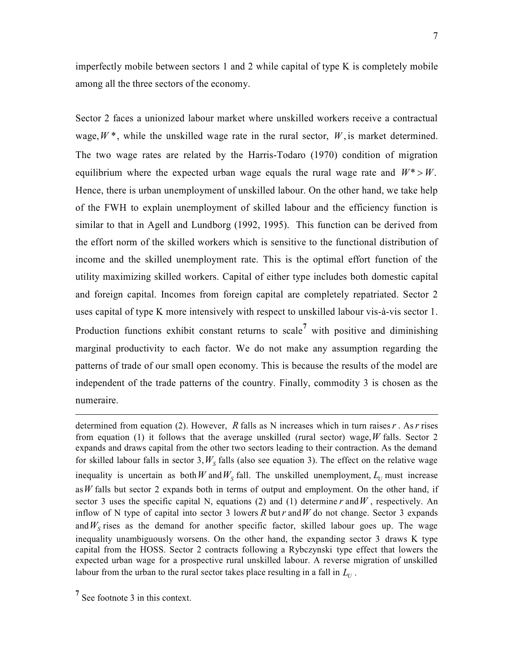imperfectly mobile between sectors 1 and 2 while capital of type K is completely mobile among all the three sectors of the economy.

Sector 2 faces a unionized labour market where unskilled workers receive a contractual wage,  $W^*$ , while the unskilled wage rate in the rural sector,  $W$ , is market determined. The two wage rates are related by the Harris-Todaro (1970) condition of migration equilibrium where the expected urban wage equals the rural wage rate and  $W^* > W$ . Hence, there is urban unemployment of unskilled labour. On the other hand, we take help of the FWH to explain unemployment of skilled labour and the efficiency function is similar to that in Agell and Lundborg (1992, 1995). This function can be derived from the effort norm of the skilled workers which is sensitive to the functional distribution of income and the skilled unemployment rate. This is the optimal effort function of the utility maximizing skilled workers. Capital of either type includes both domestic capital and foreign capital. Incomes from foreign capital are completely repatriated. Sector 2 uses capital of type K more intensively with respect to unskilled labour vis-à-vis sector 1. Production functions exhibit constant returns to scale<sup>7</sup> with positive and diminishing marginal productivity to each factor. We do not make any assumption regarding the patterns of trade of our small open economy. This is because the results of the model are independent of the trade patterns of the country. Finally, commodity 3 is chosen as the numeraire.

determined from equation (2). However, *R* falls as N increases which in turn raises *r*. As *r* rises from equation (1) it follows that the average unskilled (rural sector) wage,*W* falls. Sector 2 expands and draws capital from the other two sectors leading to their contraction. As the demand for skilled labour falls in sector  $3, W<sub>S</sub>$  falls (also see equation 3). The effect on the relative wage inequality is uncertain as both *W* and  $W_s$  fall. The unskilled unemployment,  $L_U$  must increase as W falls but sector 2 expands both in terms of output and employment. On the other hand, if sector 3 uses the specific capital N, equations (2) and (1) determine  $r$  and  $W$ , respectively. An inflow of N type of capital into sector 3 lowers *R* but *r* and *W* do not change. Sector 3 expands and  $W<sub>S</sub>$  rises as the demand for another specific factor, skilled labour goes up. The wage inequality unambiguously worsens. On the other hand, the expanding sector 3 draws K type capital from the HOSS. Sector 2 contracts following a Rybczynski type effect that lowers the expected urban wage for a prospective rural unskilled labour. A reverse migration of unskilled labour from the urban to the rural sector takes place resulting in a fall in  $L_U$ .

<sup>7</sup> See footnote 3 in this context.

-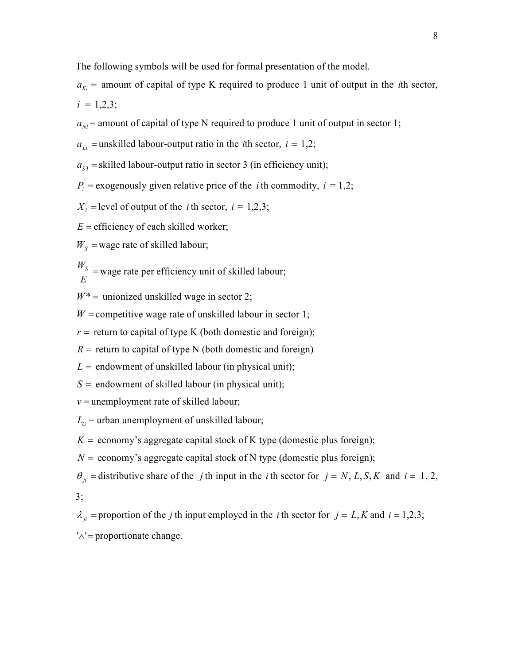The following symbols will be used for formal presentation of the model.

 $a_{ki}$  = amount of capital of type K required to produce 1 unit of output in the *i*th sector,  $i = 1,2,3;$ 

 $a_{Ni}$  = amount of capital of type N required to produce 1 unit of output in sector 1;

 $a_{Li}$  = unskilled labour-output ratio in the *i*th sector,  $i = 1,2$ ;

 $a_{s3}$  = skilled labour-output ratio in sector 3 (in efficiency unit);

 $P_i$  = exogenously given relative price of the *i* th commodity,  $i = 1,2$ ;

 $X_i$  = level of output of the *i* th sector,  $i = 1,2,3$ ;

 $E =$  efficiency of each skilled worker;

 $W<sub>S</sub>$  = wage rate of skilled labour;

*WS E* = wage rate per efficiency unit of skilled labour;

 $W^*$  = unionized unskilled wage in sector 2;

 $W =$ competitive wage rate of unskilled labour in sector 1;

 $r =$  return to capital of type K (both domestic and foreign);

 $R =$  return to capital of type N (both domestic and foreign)

 $L =$  endowment of unskilled labour (in physical unit);

 $S =$  endowment of skilled labour (in physical unit);

 $v =$  unemployment rate of skilled labour;

 $L_U$  = urban unemployment of unskilled labour;

 $K =$  economy's aggregate capital stock of K type (domestic plus foreign);

 $N =$  economy's aggregate capital stock of N type (domestic plus foreign);

 $\theta_{ii}$  = distributive share of the *j* th input in the *i* th sector for  $j = N, L, S, K$  and  $i = 1, 2,$ 3;

 $\lambda_{ii}$  = proportion of the *j* th input employed in the *i* th sector for  $j = L$ , *K* and  $i = 1,2,3$ ;  $'\wedge'$  = proportionate change.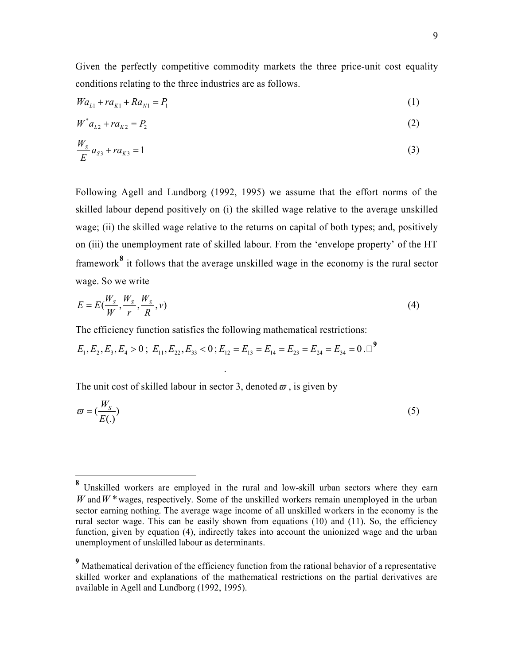Given the perfectly competitive commodity markets the three price-unit cost equality conditions relating to the three industries are as follows.

$$
Wa_{L1} + ra_{K1} + Ra_{N1} = P_1 \tag{1}
$$

$$
W^* a_{L2} + r a_{K2} = P_2 \tag{2}
$$

$$
\frac{W_s}{E}a_{s3} + ra_{k3} = 1\tag{3}
$$

Following Agell and Lundborg (1992, 1995) we assume that the effort norms of the skilled labour depend positively on (i) the skilled wage relative to the average unskilled wage; (ii) the skilled wage relative to the returns on capital of both types; and, positively on (iii) the unemployment rate of skilled labour. From the 'envelope property' of the HT framework**<sup>8</sup>** it follows that the average unskilled wage in the economy is the rural sector wage. So we write

$$
E = E\left(\frac{W_s}{W}, \frac{W_s}{r}, \frac{W_s}{R}, \nu\right)
$$
\n<sup>(4)</sup>

The efficiency function satisfies the following mathematical restrictions:

$$
E_1, E_2, E_3, E_4 > 0
$$
;  $E_{11}, E_{22}, E_{33} < 0$ ;  $E_{12} = E_{13} = E_{14} = E_{23} = E_{24} = E_{34} = 0$ .

The unit cost of skilled labour in sector 3, denoted  $\varpi$ , is given by

.

$$
\varpi = \left(\frac{W_{S}}{E(.)}\right) \tag{5}
$$

**<sup>8</sup>** Unskilled workers are employed in the rural and low-skill urban sectors where they earn *W* and  $W^*$  wages, respectively. Some of the unskilled workers remain unemployed in the urban sector earning nothing. The average wage income of all unskilled workers in the economy is the rural sector wage. This can be easily shown from equations (10) and (11). So, the efficiency function, given by equation (4), indirectly takes into account the unionized wage and the urban unemployment of unskilled labour as determinants.

<sup>&</sup>lt;sup>9</sup> Mathematical derivation of the efficiency function from the rational behavior of a representative skilled worker and explanations of the mathematical restrictions on the partial derivatives are available in Agell and Lundborg (1992, 1995).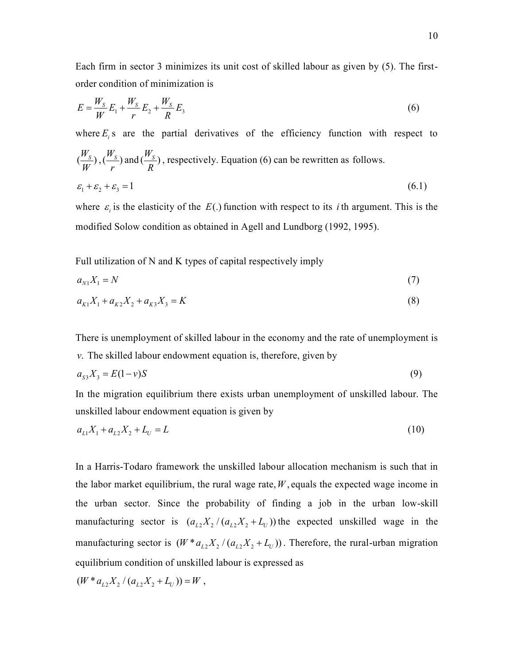Each firm in sector 3 minimizes its unit cost of skilled labour as given by (5). The firstorder condition of minimization is

$$
E = \frac{W_s}{W} E_1 + \frac{W_s}{r} E_2 + \frac{W_s}{R} E_3
$$
\n(6)

where  $E_i$  is are the partial derivatives of the efficiency function with respect to  $\left(\frac{W_s}{W_s}\right)$ *W*  $,\left(\frac{W_s}{\sigma}\right)$ *r* and  $\left(\frac{W_s}{R}\right)^2$ *R* , respectively. Equation (6) can be rewritten as follows.  $\varepsilon_1 + \varepsilon_2 + \varepsilon_3 = 1$  (6.1)

where  $\varepsilon_i$  is the elasticity of the  $E(.)$  function with respect to its *i* th argument. This is the modified Solow condition as obtained in Agell and Lundborg (1992, 1995).

Full utilization of N and K types of capital respectively imply

$$
a_{N1}X_1 = N \tag{7}
$$

$$
a_{K1}X_1 + a_{K2}X_2 + a_{K3}X_3 = K\tag{8}
$$

There is unemployment of skilled labour in the economy and the rate of unemployment is *v*. The skilled labour endowment equation is, therefore, given by

$$
a_{s3}X_3 = E(1-v)S\tag{9}
$$

In the migration equilibrium there exists urban unemployment of unskilled labour. The unskilled labour endowment equation is given by

$$
a_{L1}X_1 + a_{L2}X_2 + L_U = L \tag{10}
$$

In a Harris-Todaro framework the unskilled labour allocation mechanism is such that in the labor market equilibrium, the rural wage rate,  $W$ , equals the expected wage income in the urban sector. Since the probability of finding a job in the urban low-skill manufacturing sector is  $(a_{L2} X_2 / (a_{L2} X_2 + L_U))$  the expected unskilled wage in the manufacturing sector is  $(W * a_{12} X_2 / (a_{12} X_2 + L_U))$ . Therefore, the rural-urban migration equilibrium condition of unskilled labour is expressed as

$$
(W^* a_{L2} X_2 / (a_{L2} X_2 + L_U)) = W,
$$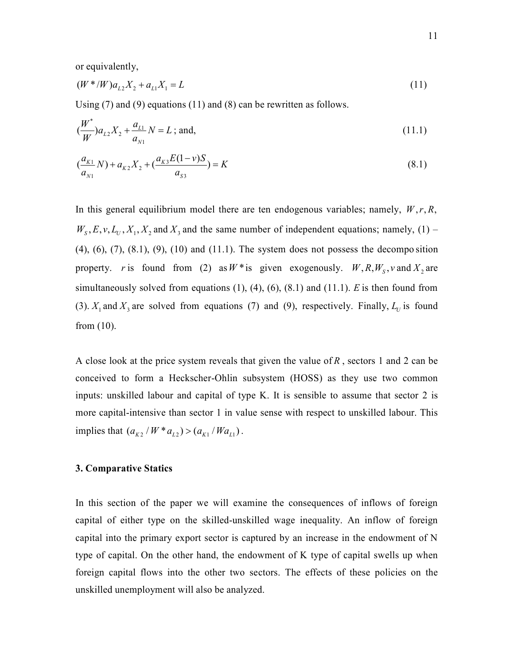or equivalently,

$$
(W^* / W)a_{L2}X_2 + a_{L1}X_1 = L \tag{11}
$$

Using (7) and (9) equations (11) and (8) can be rewritten as follows.

$$
\left(\frac{W^*}{W}\right)a_{L2}X_2 + \frac{a_{L1}}{a_{N1}}N = L \text{ ; and,}
$$
\n(11.1)

$$
\left(\frac{a_{K1}}{a_{N1}}N\right) + a_{K2}X_2 + \left(\frac{a_{K3}E(1-\nu)S}{a_{S3}}\right) = K\tag{8.1}
$$

In this general equilibrium model there are ten endogenous variables; namely,  $W, r, R$ ,  $W_s, E, v, L_v, X_1, X_2$  and  $X_3$  and the same number of independent equations; namely, (1) –  $(4)$ ,  $(6)$ ,  $(7)$ ,  $(8.1)$ ,  $(9)$ ,  $(10)$  and  $(11.1)$ . The system does not possess the decompo sition property. *r* is found from (2) as  $W^*$  is given exogenously.  $W, R, W_s, v$  and  $X_2$  are simultaneously solved from equations  $(1)$ ,  $(4)$ ,  $(6)$ ,  $(8.1)$  and  $(11.1)$ . *E* is then found from (3).  $X_1$  and  $X_3$  are solved from equations (7) and (9), respectively. Finally,  $L_U$  is found from (10).

A close look at the price system reveals that given the value of *R* , sectors 1 and 2 can be conceived to form a Heckscher-Ohlin subsystem (HOSS) as they use two common inputs: unskilled labour and capital of type K. It is sensible to assume that sector 2 is more capital-intensive than sector 1 in value sense with respect to unskilled labour. This implies that  $(a_{K2} / W * a_{L2}) > (a_{K1} / Wa_{L1})$ .

#### **3. Comparative Statics**

In this section of the paper we will examine the consequences of inflows of foreign capital of either type on the skilled-unskilled wage inequality. An inflow of foreign capital into the primary export sector is captured by an increase in the endowment of N type of capital. On the other hand, the endowment of K type of capital swells up when foreign capital flows into the other two sectors. The effects of these policies on the unskilled unemployment will also be analyzed.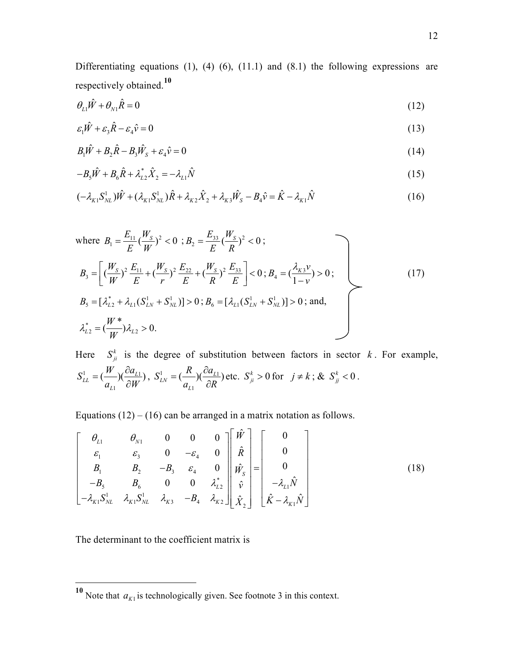Differentiating equations (1), (4) (6), (11.1) and (8.1) the following expressions are respectively obtained.**<sup>10</sup>**

$$
\theta_{L1}\hat{W} + \theta_{N1}\hat{R} = 0\tag{12}
$$

$$
\varepsilon_1 \hat{W} + \varepsilon_3 \hat{R} - \varepsilon_4 \hat{v} = 0 \tag{13}
$$

$$
B_1 \hat{W} + B_2 \hat{R} - B_3 \hat{W}_s + \varepsilon_4 \hat{v} = 0 \tag{14}
$$

$$
-B_{5}\hat{W} + B_{6}\hat{R} + \lambda_{L2}^{*}\hat{X}_{2} = -\lambda_{L1}\hat{N}
$$
\n(15)

$$
(-\lambda_{K1}S_{NL}^1)\hat{W} + (\lambda_{K1}S_{NL}^1)\hat{R} + \lambda_{K2}\hat{X}_2 + \lambda_{K3}\hat{W}_S - B_4\hat{v} = \hat{K} - \lambda_{K1}\hat{N}
$$
(16)

where 
$$
B_1 = \frac{E_{11}}{E} (\frac{W_s}{W})^2 < 0
$$
;  $B_2 = \frac{E_{33}}{E} (\frac{W_s}{R})^2 < 0$ ;  
\n
$$
B_3 = \left[ (\frac{W_s}{W})^2 \frac{E_{11}}{E} + (\frac{W_s}{r})^2 \frac{E_{22}}{E} + (\frac{W_s}{R})^2 \frac{E_{33}}{E} \right] < 0; B_4 = (\frac{\lambda_{K3}v}{1 - v}) > 0;
$$
\n
$$
B_5 = [\lambda_{L2}^* + \lambda_{L1} (S_{LN}^1 + S_{NL}^1)] > 0; B_6 = [\lambda_{L1} (S_{LN}^1 + S_{NL}^1)] > 0; \text{ and,}
$$
\n
$$
\lambda_{L2}^* = (\frac{W^*}{W}) \lambda_{L2} > 0.
$$
\n(17)

Here  $S_{ji}^k$  is the degree of substitution between factors in sector *k*. For example,  $1 - (\frac{W}{L^1})$ 1  $\mu_L = \left(\frac{H}{\tau}\right)\left(\frac{\partial u_{L1}}{\partial H}\right)$ *L*  $S_{LL}^1 = \left(\frac{W}{2}\right)\left(\frac{\partial a}{\partial x}\right)$  $a_{L1} \cap \partial W$  $=(\frac{W}{\cdot}) (\frac{\partial}{\partial})$  $\partial$  $S_{LN}^1 = \frac{K}{2} \left( \frac{U u_{L1}}{2R} \right)$ 1  $\frac{1}{LN} = \left(\frac{R}{r}\right)\left(\frac{Uu_{L1}}{2R}\right)$ *L*  $S^1_{LN} = \left(\frac{R}{2}\right)\left(\frac{\partial a}{\partial x}\right)$  $a_{L1} \cap \partial R$  $=(\frac{R}{\sqrt{2}})(\frac{\partial}{\partial \theta})$  $\partial$ etc.  $S_{ji}^k > 0$  for  $j \neq k$ ; &  $S_{jj}^k < 0$ .

Equations  $(12) - (16)$  can be arranged in a matrix notation as follows.

$$
\begin{bmatrix}\n\theta_{L1} & \theta_{N1} & 0 & 0 & 0 \\
\varepsilon_1 & \varepsilon_3 & 0 & -\varepsilon_4 & 0 \\
B_1 & B_2 & -B_3 & \varepsilon_4 & 0 \\
-B_5 & B_6 & 0 & 0 & \lambda_{L2}^* \\
-\lambda_{K1}S_{NL}^1 & \lambda_{K1}S_{NL}^1 & \lambda_{K3} & -B_4 & \lambda_{K2}\n\end{bmatrix}\n\begin{bmatrix}\n\hat{W} \\
\hat{R} \\
\hat{W}_S \\
\hat{V}_S \\
\hat{V}_e\n\end{bmatrix} =\n\begin{bmatrix}\n0 \\
0 \\
0 \\
-\lambda_{L1}\hat{N} \\
\hat{K} - \lambda_{K1}\hat{N}\n\end{bmatrix}
$$
\n(18)

The determinant to the coefficient matrix is

<sup>&</sup>lt;sup>10</sup> Note that  $a_{K1}$  is technologically given. See footnote 3 in this context.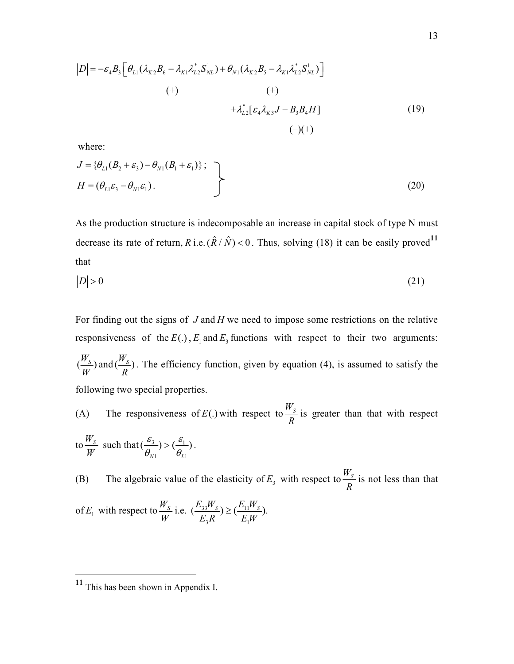$$
|D| = -\varepsilon_4 B_3 \left[ \theta_{L1} (\lambda_{K2} B_6 - \lambda_{K1} \lambda_{L2}^* S_{NL}^1) + \theta_{N1} (\lambda_{K2} B_5 - \lambda_{K1} \lambda_{L2}^* S_{NL}^1) \right]
$$
  
(+)  

$$
+ \lambda_{L2}^* [\varepsilon_4 \lambda_{K3} J - B_3 B_4 H]
$$
  
(19)  
(–)(+)

where:

$$
J = \{\theta_{L1}(B_2 + \varepsilon_3) - \theta_{N1}(B_1 + \varepsilon_1)\};
$$
  
\n
$$
H = (\theta_{L1}\varepsilon_3 - \theta_{N1}\varepsilon_1).
$$
\n(20)

As the production structure is indecomposable an increase in capital stock of type N must decrease its rate of return, *R* i.e.  $(\hat{R}/\hat{N})$  < 0. Thus, solving (18) it can be easily proved<sup>11</sup> that

$$
|D| > 0 \tag{21}
$$

For finding out the signs of *J* and *H* we need to impose some restrictions on the relative responsiveness of the  $E(.)$ ,  $E_1$  and  $E_3$  functions with respect to their two arguments:  $\left(\frac{W_s}{W_s}\right)$ *W* and  $\left(\frac{W_s}{R}\right)^2$ *R* . The efficiency function, given by equation (4), is assumed to satisfy the following two special properties.

(A) The responsiveness of  $E(.)$  with respect to  $\frac{W_S}{P}$ *R* is greater than that with respect to  $\frac{W_s}{W}$ *W* such that  $(\frac{c_3}{2}) > (\frac{c_1}{2})$  $1 \qquad \qquad \nu_{L1}$  $\left(\frac{c_3}{a}\right) > \left(\frac{c_1}{a}\right)$  $N1$   $V_L$  $\varepsilon$ ,  $\varepsilon$  $\theta_{_{N_1}}$   $\theta_{_{N_1}}$  $> \left(\frac{c_1}{a}\right)$ .

(B) The algebraic value of the elasticity of  $E_3$  with respect to  $\frac{W_S}{R}$ *R* is not less than that of  $E_1$  with respect to  $\frac{W_s}{W}$ *W* i.e.  $\left(\frac{L_{33}r}{R_{12}}\right) \geq \left(\frac{L_{11}}{R_{11}}\right)$  $3^{11}$   $L_1$  $(\frac{E_{33}W_s}{E_{12}}) \geq (\frac{E_{11}W_s}{E_{23}}).$  $E_1 R$ <sup> $\rightarrow$ </sup>  $E_1 W$  $\geq$ 

**<sup>11</sup>** This has been shown in Appendix I.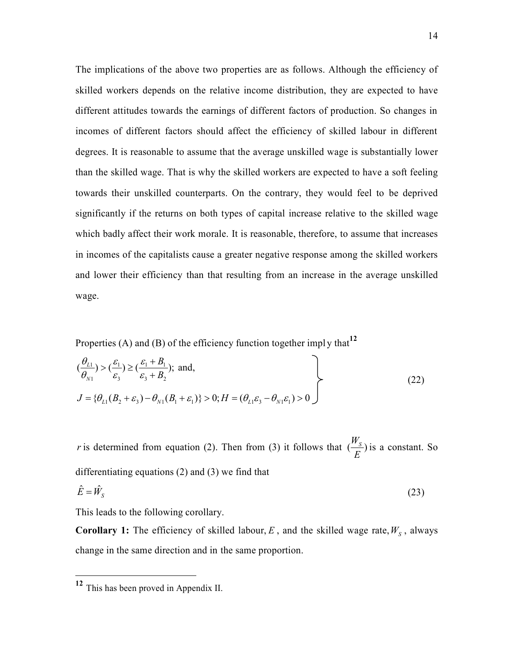The implications of the above two properties are as follows. Although the efficiency of skilled workers depends on the relative income distribution, they are expected to have different attitudes towards the earnings of different factors of production. So changes in incomes of different factors should affect the efficiency of skilled labour in different degrees. It is reasonable to assume that the average unskilled wage is substantially lower than the skilled wage. That is why the skilled workers are expected to have a soft feeling towards their unskilled counterparts. On the contrary, they would feel to be deprived significantly if the returns on both types of capital increase relative to the skilled wage which badly affect their work morale. It is reasonable, therefore, to assume that increases in incomes of the capitalists cause a greater negative response among the skilled workers and lower their efficiency than that resulting from an increase in the average unskilled wage.

Properties (A) and (B) of the efficiency function together imply that<sup>12</sup>

$$
\left(\frac{\theta_{L1}}{\theta_{N1}}\right) > \left(\frac{\varepsilon_1}{\varepsilon_3}\right) \ge \left(\frac{\varepsilon_1 + B_1}{\varepsilon_3 + B_2}\right); \text{ and,}
$$
\n
$$
J = \left\{\theta_{L1}(B_2 + \varepsilon_3) - \theta_{N1}(B_1 + \varepsilon_1)\right\} > 0; H = \left(\theta_{L1}\varepsilon_3 - \theta_{N1}\varepsilon_1\right) > 0
$$
\n(22)

*r* is determined from equation (2). Then from (3) it follows that  $(\frac{W_s}{R})$ *E* is a constant. So differentiating equations (2) and (3) we find that  $\hat{E} = \hat{W}_{\rm s}$  $(23)$ 

This leads to the following corollary.

**Corollary 1:** The efficiency of skilled labour,  $E$ , and the skilled wage rate,  $W<sub>S</sub>$ , always change in the same direction and in the same proportion.

**<sup>12</sup>** This has been proved in Appendix II.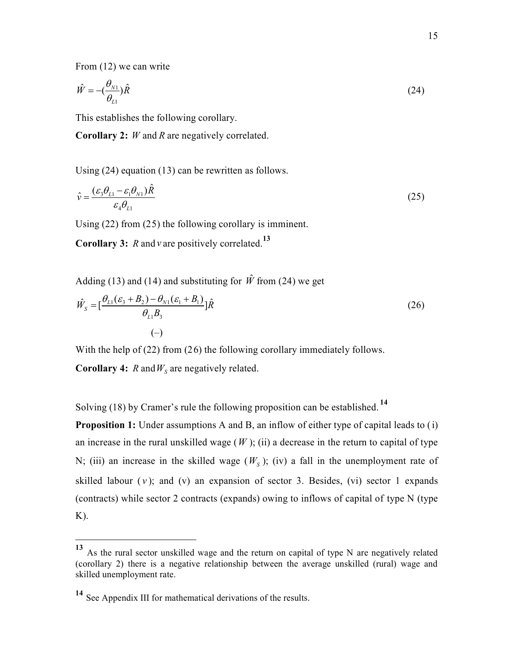From (12) we can write

$$
\hat{W} = -\left(\frac{\theta_{N1}}{\theta_{L1}}\right)\hat{R}
$$
\n(24)

This establishes the following corollary.

**Corollary 2:** *W* and *R* are negatively correlated.

Using (24) equation (13) can be rewritten as follows.

$$
\hat{v} = \frac{(\varepsilon_3 \theta_{L1} - \varepsilon_1 \theta_{N1})\hat{R}}{\varepsilon_4 \theta_{L1}}\tag{25}
$$

Using (22) from (25) the following corollary is imminent.

**Corollary 3:** *R* and *v* are positively correlated.**<sup>13</sup>**

Adding (13) and (14) and substituting for  $\hat{W}$  from (24) we get

$$
\hat{W}_s = \left[\frac{\theta_{L1}(\varepsilon_3 + B_2) - \theta_{N1}(\varepsilon_1 + B_1)}{\theta_{L1}B_3}\right] \hat{R}
$$
\n
$$
(-)
$$
\n(26)

With the help of (22) from (26) the following corollary immediately follows.

**Corollary 4:** *R* and  $W_s$  are negatively related.

-

Solving (18) by Cramer's rule the following proposition can be established. **<sup>14</sup>**

**Proposition 1:** Under assumptions A and B, an inflow of either type of capital leads to (i) an increase in the rural unskilled wage  $(W)$ ; (ii) a decrease in the return to capital of type N; (iii) an increase in the skilled wage  $(W<sub>S</sub>)$ ; (iv) a fall in the unemployment rate of skilled labour  $(v)$ ; and  $(v)$  an expansion of sector 3. Besides,  $(vi)$  sector 1 expands (contracts) while sector 2 contracts (expands) owing to inflows of capital of type N (type  $K$ ).

**<sup>13</sup>** As the rural sector unskilled wage and the return on capital of type N are negatively related (corollary 2) there is a negative relationship between the average unskilled (rural) wage and skilled unemployment rate.

**<sup>14</sup>** See Appendix III for mathematical derivations of the results.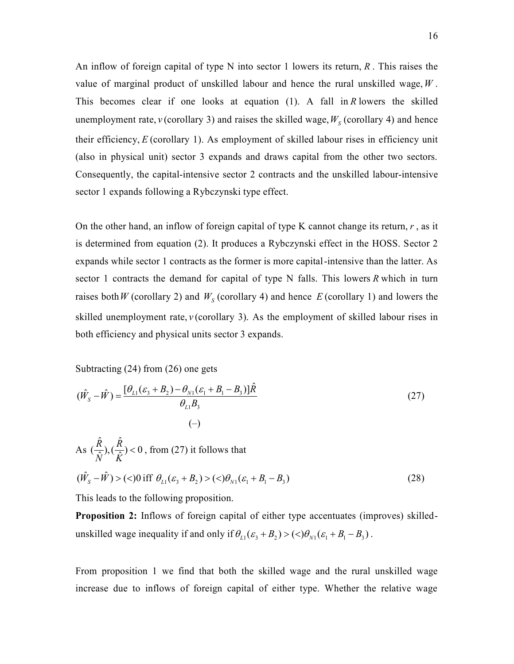An inflow of foreign capital of type N into sector 1 lowers its return, *R* . This raises the value of marginal product of unskilled labour and hence the rural unskilled wage,*W* . This becomes clear if one looks at equation (1). A fall in *R* lowers the skilled unemployment rate,  $v$  (corollary 3) and raises the skilled wage,  $W_s$  (corollary 4) and hence their efficiency, *E* (corollary 1). As employment of skilled labour rises in efficiency unit (also in physical unit) sector 3 expands and draws capital from the other two sectors. Consequently, the capital-intensive sector 2 contracts and the unskilled labour-intensive sector 1 expands following a Rybczynski type effect.

On the other hand, an inflow of foreign capital of type K cannot change its return, *r* , as it is determined from equation (2). It produces a Rybczynski effect in the HOSS. Sector 2 expands while sector 1 contracts as the former is more capital-intensive than the latter. As sector 1 contracts the demand for capital of type N falls. This lowers *R* which in turn raises both *W* (corollary 2) and  $W<sub>S</sub>$  (corollary 4) and hence *E* (corollary 1) and lowers the skilled unemployment rate,  $v$  (corollary 3). As the employment of skilled labour rises in both efficiency and physical units sector 3 expands.

#### Subtracting (24) from (26) one gets

$$
(\hat{W}_S - \hat{W}) = \frac{[\theta_{L1}(\varepsilon_3 + B_2) - \theta_{N1}(\varepsilon_1 + B_1 - B_3)]\hat{R}}{\theta_{L1}B_3}
$$
\n
$$
(-)
$$
\nAs  $(\frac{\hat{R}}{\hat{N}}), (\frac{\hat{R}}{\hat{K}}) < 0$ , from (27) it follows that\n
$$
(\hat{W}_S - \hat{W}) > (<)0 \text{ iff } \theta_{L1}(\varepsilon_3 + B_2) > (<) \theta_{N1}(\varepsilon_1 + B_1 - B_3)
$$
\n(28)

This leads to the following proposition.

**Proposition 2:** Inflows of foreign capital of either type accentuates (improves) skilledunskilled wage inequality if and only if  $\theta_{L1}(\varepsilon_1 + B_2) > \frac{(\varepsilon_1 + B_1 - B_2)}{\varepsilon_1 + B_2}$ .

From proposition 1 we find that both the skilled wage and the rural unskilled wage increase due to inflows of foreign capital of either type. Whether the relative wage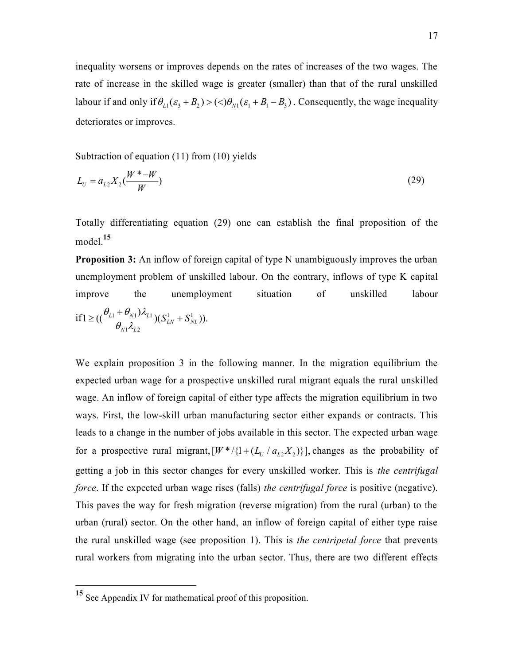inequality worsens or improves depends on the rates of increases of the two wages. The rate of increase in the skilled wage is greater (smaller) than that of the rural unskilled labour if and only if  $\theta_{L1}(\varepsilon_1 + B_2) > \frac{(\varepsilon_1 + B_1 - B_3)}{(\varepsilon_1 + B_2 - B_3)}$ . Consequently, the wage inequality deteriorates or improves.

Subtraction of equation (11) from (10) yields

$$
L_U = a_{L2} X_2 \left(\frac{W^* - W}{W}\right) \tag{29}
$$

Totally differentiating equation (29) one can establish the final proposition of the model.**<sup>15</sup>**

**Proposition 3:** An inflow of foreign capital of type N unambiguously improves the urban unemployment problem of unskilled labour. On the contrary, inflows of type K capital improve the unemployment situation of unskilled labour if  $1 \geq \left( \left( \frac{U_{L1} + U_{N1}}{2} \right) \left( S_{LN}^1 + S_N^1 \right)$  $1^{\prime}$ <sup>2</sup>  $\mathcal{A} = ((\frac{\theta_{L1} + \theta_{N1})\lambda_{L1}}{\theta_{L1}})(S_{LN}^1 + S_{NL}^1)).$  $N1$ <sup> $L$ </sup> $L$  $\frac{\theta_{L1} + \theta_{N1} \lambda_{L1}}{2} (S_{LN}^1 + S)$  $\theta_{N1} \lambda_1$  $\geq ((\frac{\theta_{L1}+\theta_{N1})\lambda_{L1}}{2}) (S_{LN}^1 +$ 

We explain proposition 3 in the following manner. In the migration equilibrium the expected urban wage for a prospective unskilled rural migrant equals the rural unskilled wage. An inflow of foreign capital of either type affects the migration equilibrium in two ways. First, the low-skill urban manufacturing sector either expands or contracts. This leads to a change in the number of jobs available in this sector. The expected urban wage for a prospective rural migrant,  $[W^*/{1 + (L_U/a_{L2}X_2)}]$ , changes as the probability of getting a job in this sector changes for every unskilled worker. This is *the centrifugal force*. If the expected urban wage rises (falls) *the centrifugal force* is positive (negative). This paves the way for fresh migration (reverse migration) from the rural (urban) to the urban (rural) sector. On the other hand, an inflow of foreign capital of either type raise the rural unskilled wage (see proposition 1). This is *the centripetal force* that prevents rural workers from migrating into the urban sector. Thus, there are two different effects

**<sup>15</sup>** See Appendix IV for mathematical proof of this proposition.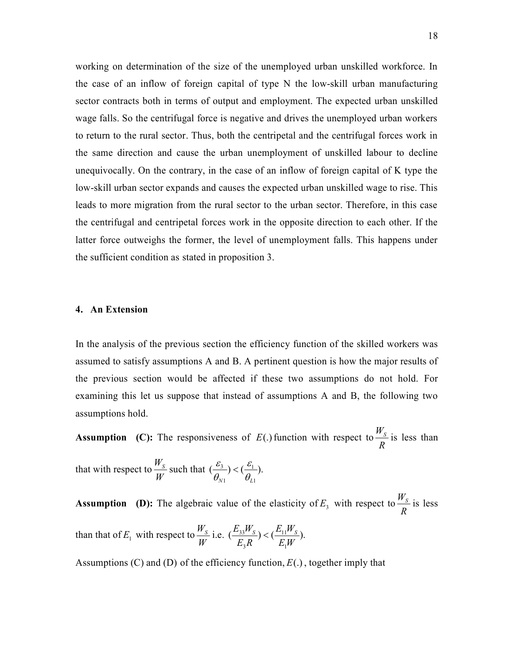working on determination of the size of the unemployed urban unskilled workforce. In the case of an inflow of foreign capital of type N the low-skill urban manufacturing sector contracts both in terms of output and employment. The expected urban unskilled wage falls. So the centrifugal force is negative and drives the unemployed urban workers to return to the rural sector. Thus, both the centripetal and the centrifugal forces work in the same direction and cause the urban unemployment of unskilled labour to decline unequivocally. On the contrary, in the case of an inflow of foreign capital of K type the low-skill urban sector expands and causes the expected urban unskilled wage to rise. This leads to more migration from the rural sector to the urban sector. Therefore, in this case the centrifugal and centripetal forces work in the opposite direction to each other. If the latter force outweighs the former, the level of unemployment falls. This happens under the sufficient condition as stated in proposition 3.

#### **4. An Extension**

In the analysis of the previous section the efficiency function of the skilled workers was assumed to satisfy assumptions A and B. A pertinent question is how the major results of the previous section would be affected if these two assumptions do not hold. For examining this let us suppose that instead of assumptions A and B, the following two assumptions hold.

**Assumption** (C): The responsiveness of  $E(.)$  function with respect to  $\frac{W_S}{R}$ *R* is less than that with respect to  $\frac{W_S}{W_S}$ *W* such that  $\left(\frac{b_3}{2}\right) < \left(\frac{b_1}{2}\right)$ 1  $V_{L1}$  $\left(\frac{c_3}{a}\right) < \left(\frac{c_1}{a}\right).$  $N1$   $V_L$  $\varepsilon$ ,  $\varepsilon$  $\theta_{N1}^{\phantom{N1}}$  $\lt$ 

**Assumption** (D): The algebraic value of the elasticity of  $E_3$  with respect to  $\frac{W_S}{R}$ *R* is less than that of  $E_1$  with respect to  $\frac{W_S}{W_S}$ *W* i.e.  $\left(\frac{E_{33}W_S}{E_{12}R}\right) < \left(\frac{E_{11}W_S}{E_{22}W}\right).$  $3^{11}$   $E_1$  $E_3 R$   $E_1 W$  $\lt$ 

Assumptions (C) and (D) of the efficiency function, *E*(.) , together imply that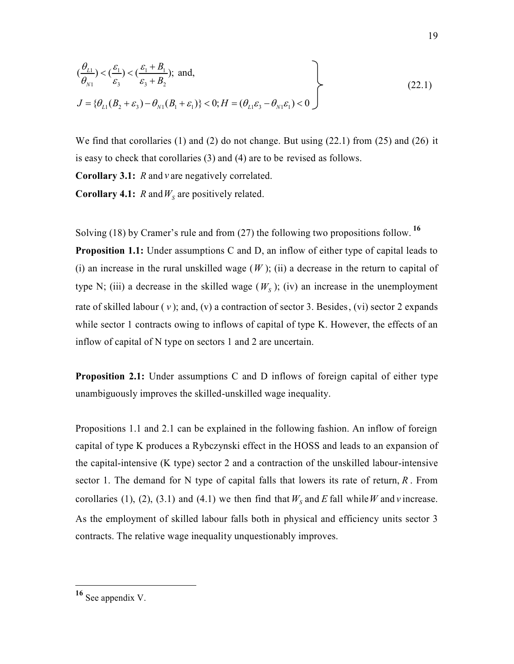$$
\left\{\frac{\theta_{L1}}{\theta_{N1}}\right\} < \left(\frac{\varepsilon_1}{\varepsilon_3}\right) < \left(\frac{\varepsilon_1 + B_1}{\varepsilon_3 + B_2}\right); \text{ and,}
$$
\n
$$
J = \left\{\theta_{L1}(B_2 + \varepsilon_3) - \theta_{N1}(B_1 + \varepsilon_1)\right\} < 0; H = \left(\theta_{L1}\varepsilon_3 - \theta_{N1}\varepsilon_1\right) < 0
$$
\n
$$
\tag{22.1}
$$

We find that corollaries  $(1)$  and  $(2)$  do not change. But using  $(22.1)$  from  $(25)$  and  $(26)$  it is easy to check that corollaries (3) and (4) are to be revised as follows.

**Corollary 3.1:** *R* and *v* are negatively correlated.

**Corollary 4.1:** *R* and  $W_s$  are positively related.

Solving (18) by Cramer's rule and from (27) the following two propositions follow. **<sup>16</sup> Proposition 1.1:** Under assumptions C and D, an inflow of either type of capital leads to (i) an increase in the rural unskilled wage  $(W)$ ; (ii) a decrease in the return to capital of type N; (iii) a decrease in the skilled wage  $(W<sub>S</sub>)$ ; (iv) an increase in the unemployment rate of skilled labour ( *v* ); and, (v) a contraction of sector 3. Besides, (vi) sector 2 expands while sector 1 contracts owing to inflows of capital of type K. However, the effects of an inflow of capital of N type on sectors 1 and 2 are uncertain.

**Proposition 2.1:** Under assumptions C and D inflows of foreign capital of either type unambiguously improves the skilled-unskilled wage inequality.

Propositions 1.1 and 2.1 can be explained in the following fashion. An inflow of foreign capital of type K produces a Rybczynski effect in the HOSS and leads to an expansion of the capital-intensive (K type) sector 2 and a contraction of the unskilled labour-intensive sector 1. The demand for N type of capital falls that lowers its rate of return, *R* . From corollaries (1), (2), (3.1) and (4.1) we then find that  $W_s$  and *E* fall while *W* and *v* increase. As the employment of skilled labour falls both in physical and efficiency units sector 3 contracts. The relative wage inequality unquestionably improves.

-

<sup>19</sup> 

**<sup>16</sup>** See appendix V.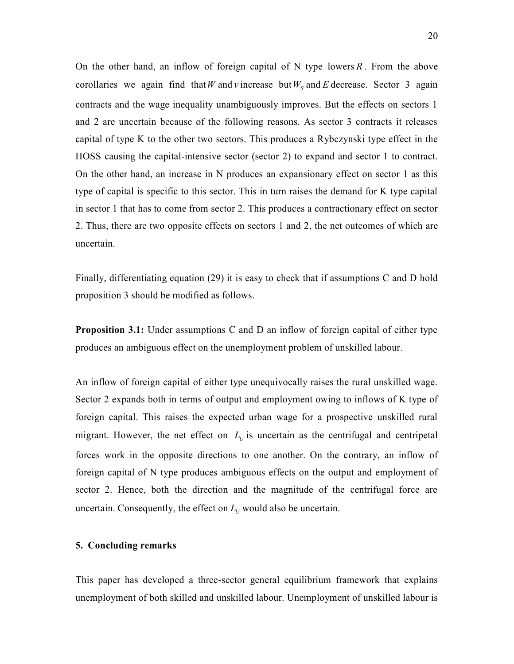On the other hand, an inflow of foreign capital of N type lowers *R* . From the above corollaries we again find that *W* and *v* increase but  $W_s$  and *E* decrease. Sector 3 again contracts and the wage inequality unambiguously improves. But the effects on sectors 1 and 2 are uncertain because of the following reasons. As sector 3 contracts it releases capital of type K to the other two sectors. This produces a Rybczynski type effect in the HOSS causing the capital-intensive sector (sector 2) to expand and sector 1 to contract. On the other hand, an increase in N produces an expansionary effect on sector 1 as this type of capital is specific to this sector. This in turn raises the demand for K type capital in sector 1 that has to come from sector 2. This produces a contractionary effect on sector 2. Thus, there are two opposite effects on sectors 1 and 2, the net outcomes of which are uncertain.

Finally, differentiating equation (29) it is easy to check that if assumptions C and D hold proposition 3 should be modified as follows.

**Proposition 3.1:** Under assumptions C and D an inflow of foreign capital of either type produces an ambiguous effect on the unemployment problem of unskilled labour.

An inflow of foreign capital of either type unequivocally raises the rural unskilled wage. Sector 2 expands both in terms of output and employment owing to inflows of K type of foreign capital. This raises the expected urban wage for a prospective unskilled rural migrant. However, the net effect on  $L_U$  is uncertain as the centrifugal and centripetal forces work in the opposite directions to one another. On the contrary, an inflow of foreign capital of N type produces ambiguous effects on the output and employment of sector 2. Hence, both the direction and the magnitude of the centrifugal force are uncertain. Consequently, the effect on  $L_U$  would also be uncertain.

#### **5. Concluding remarks**

This paper has developed a three-sector general equilibrium framework that explains unemployment of both skilled and unskilled labour. Unemployment of unskilled labour is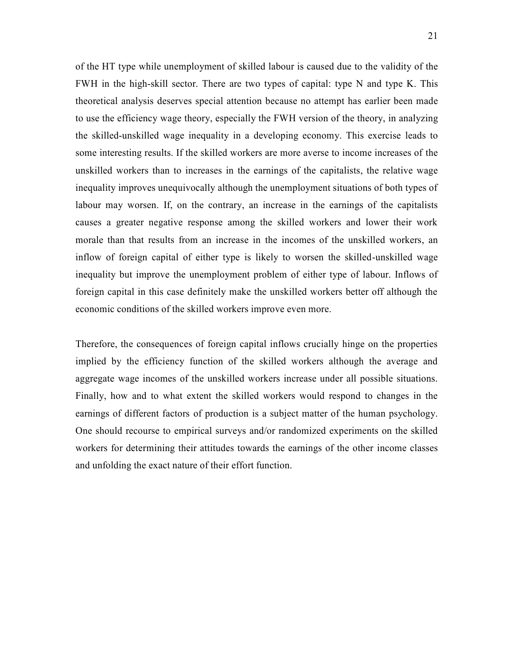of the HT type while unemployment of skilled labour is caused due to the validity of the FWH in the high-skill sector. There are two types of capital: type N and type K. This theoretical analysis deserves special attention because no attempt has earlier been made to use the efficiency wage theory, especially the FWH version of the theory, in analyzing the skilled-unskilled wage inequality in a developing economy. This exercise leads to some interesting results. If the skilled workers are more averse to income increases of the unskilled workers than to increases in the earnings of the capitalists, the relative wage inequality improves unequivocally although the unemployment situations of both types of labour may worsen. If, on the contrary, an increase in the earnings of the capitalists causes a greater negative response among the skilled workers and lower their work morale than that results from an increase in the incomes of the unskilled workers, an inflow of foreign capital of either type is likely to worsen the skilled-unskilled wage inequality but improve the unemployment problem of either type of labour. Inflows of foreign capital in this case definitely make the unskilled workers better off although the economic conditions of the skilled workers improve even more.

Therefore, the consequences of foreign capital inflows crucially hinge on the properties implied by the efficiency function of the skilled workers although the average and aggregate wage incomes of the unskilled workers increase under all possible situations. Finally, how and to what extent the skilled workers would respond to changes in the earnings of different factors of production is a subject matter of the human psychology. One should recourse to empirical surveys and/or randomized experiments on the skilled workers for determining their attitudes towards the earnings of the other income classes and unfolding the exact nature of their effort function.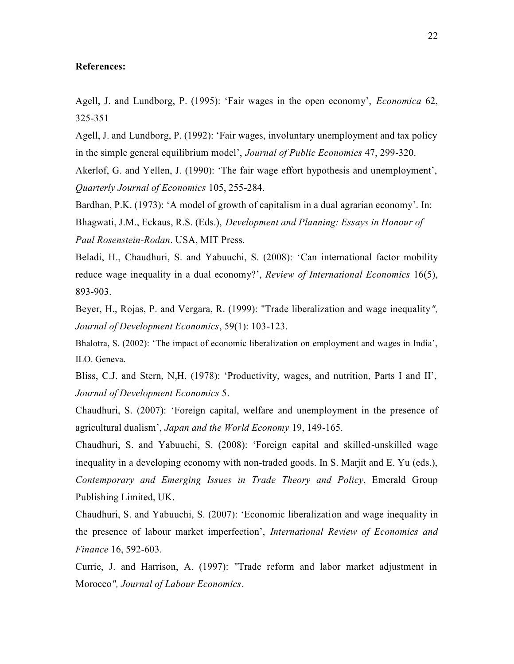#### **References:**

Agell, J. and Lundborg, P. (1995): 'Fair wages in the open economy', *Economica* 62, 325-351

Agell, J. and Lundborg, P. (1992): 'Fair wages, involuntary unemployment and tax policy in the simple general equilibrium model', *Journal of Public Economics* 47, 299-320.

Akerlof, G. and Yellen, J. (1990): 'The fair wage effort hypothesis and unemployment', *Quarterly Journal of Economics* 105, 255-284.

Bardhan, P.K. (1973): 'A model of growth of capitalism in a dual agrarian economy'. In: Bhagwati, J.M., Eckaus, R.S. (Eds.), *Development and Planning: Essays in Honour of Paul Rosenstein-Rodan*. USA, MIT Press.

Beladi, H., Chaudhuri, S. and Yabuuchi, S. (2008): 'Can international factor mobility reduce wage inequality in a dual economy?', *Review of International Economics* 16(5), 893-903.

Beyer, H., Rojas, P. and Vergara, R. (1999): "Trade liberalization and wage inequality*", Journal of Development Economics*, 59(1): 103-123.

Bhalotra, S. (2002): 'The impact of economic liberalization on employment and wages in India', ILO. Geneva.

Bliss, C.J. and Stern, N,H. (1978): 'Productivity, wages, and nutrition, Parts I and II', *Journal of Development Economics* 5.

Chaudhuri, S. (2007): 'Foreign capital, welfare and unemployment in the presence of agricultural dualism', *Japan and the World Economy* 19, 149-165.

Chaudhuri, S. and Yabuuchi, S. (2008): 'Foreign capital and skilled-unskilled wage inequality in a developing economy with non-traded goods. In S. Marjit and E. Yu (eds.), *Contemporary and Emerging Issues in Trade Theory and Policy*, Emerald Group Publishing Limited, UK.

Chaudhuri, S. and Yabuuchi, S. (2007): 'Economic liberalization and wage inequality in the presence of labour market imperfection', *International Review of Economics and Finance* 16, 592-603.

Currie, J. and Harrison, A. (1997): "Trade reform and labor market adjustment in Morocco*", Journal of Labour Economics*.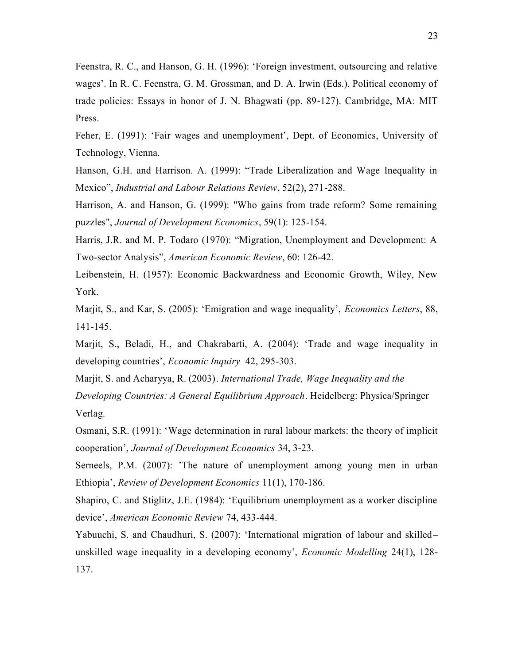Feenstra, R. C., and Hanson, G. H. (1996): 'Foreign investment, outsourcing and relative wages'. In R. C. Feenstra, G. M. Grossman, and D. A. Irwin (Eds.), Political economy of trade policies: Essays in honor of J. N. Bhagwati (pp. 89-127). Cambridge, MA: MIT Press.

Feher, E. (1991): 'Fair wages and unemployment', Dept. of Economics, University of Technology, Vienna.

Hanson, G.H. and Harrison. A. (1999): "Trade Liberalization and Wage Inequality in Mexico", *Industrial and Labour Relations Review*, 52(2), 271-288.

Harrison, A. and Hanson, G. (1999): "Who gains from trade reform? Some remaining puzzles", *Journal of Development Economics*, 59(1): 125-154.

Harris, J.R. and M. P. Todaro (1970): "Migration, Unemployment and Development: A Two-sector Analysis", *American Economic Review*, 60: 126-42.

Leibenstein, H. (1957): Economic Backwardness and Economic Growth, Wiley, New York.

Marjit, S., and Kar, S. (2005): 'Emigration and wage inequality', *Economics Letters*, 88, 141-145.

Marjit, S., Beladi, H., and Chakrabarti, A. (2004): 'Trade and wage inequality in developing countries', *Economic Inquiry* 42, 295-303.

Marjit, S. and Acharyya, R. (2003). *International Trade, Wage Inequality and the* 

*Developing Countries: A General Equilibrium Approach*. Heidelberg: Physica/Springer Verlag.

Osmani, S.R. (1991): 'Wage determination in rural labour markets: the theory of implicit cooperation', *Journal of Development Economics* 34, 3-23.

Serneels, P.M. (2007): 'The nature of unemployment among young men in urban Ethiopia', *Review of Development Economics* 11(1), 170-186.

Shapiro, C. and Stiglitz, J.E. (1984): 'Equilibrium unemployment as a worker discipline device', *American Economic Review* 74, 433-444.

Yabuuchi, S. and Chaudhuri, S. (2007): 'International migration of labour and skilled– unskilled wage inequality in a developing economy', *Economic Modelling* 24(1), 128- 137.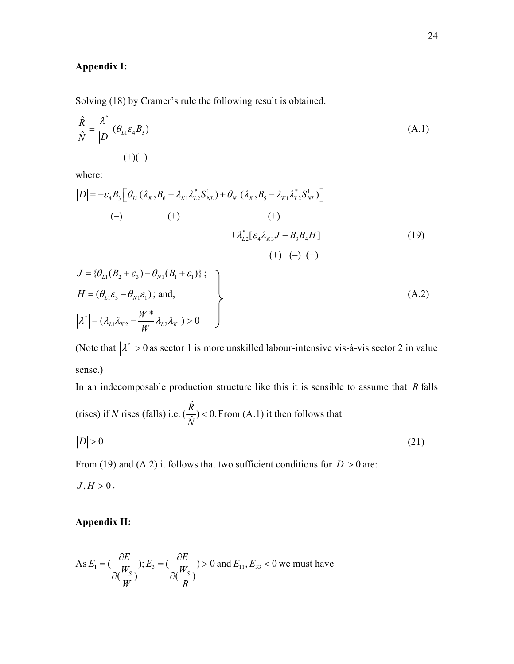### **Appendix I:**

Solving (18) by Cramer's rule the following result is obtained.

$$
\frac{\hat{R}}{\hat{N}} = \frac{\left|\lambda^*\right|}{\left|D\right|} (\theta_{L1} \varepsilon_4 B_3) \tag{A.1}
$$
\n
$$
(+)(-)
$$

where:

$$
|D| = -\varepsilon_{4}B_{3} \left[ \theta_{L1} (\lambda_{K2}B_{6} - \lambda_{K1} \lambda_{L2}^{*} S_{NL}^{1}) + \theta_{N1} (\lambda_{K2}B_{5} - \lambda_{K1} \lambda_{L2}^{*} S_{NL}^{1}) \right]
$$
  
\n(-)\n(+)  
\n
$$
+ \lambda_{L2}^{*} [\varepsilon_{4} \lambda_{K3} J - B_{3}B_{4}H] \tag{19}
$$
  
\n(+)\n(-)\n(+)

$$
J = \{\theta_{L1}(B_2 + \varepsilon_3) - \theta_{N1}(B_1 + \varepsilon_1)\};\
$$
  
\n
$$
H = (\theta_{L1}\varepsilon_3 - \theta_{N1}\varepsilon_1); \text{ and,}
$$
  
\n
$$
|\lambda^*| = (\lambda_{L1}\lambda_{K2} - \frac{W^*}{W}\lambda_{L2}\lambda_{K1}) > 0
$$
\n(A.2)

(Note that  $|\lambda^*| > 0$  as sector 1 is more unskilled labour-intensive vis-à-vis sector 2 in value sense.)

In an indecomposable production structure like this it is sensible to assume that *R* falls (rises) if *N* rises (falls) i.e. ˆ  $(\frac{R}{\hat{N}})$  < 0. *N*  $<$  0. From  $(A.1)$  it then follows that  $D > 0$  (21)

From (19) and (A.2) it follows that two sufficient conditions for  $|D| > 0$  are:

$$
J,H>0.
$$

## **Appendix II:**

As 
$$
E_1 = \left(\frac{\partial E}{\partial (\frac{W_s}{W})}\right)
$$
;  $E_3 = \left(\frac{\partial E}{\partial (\frac{W_s}{R})}\right) > 0$  and  $E_{11}, E_{33} < 0$  we must have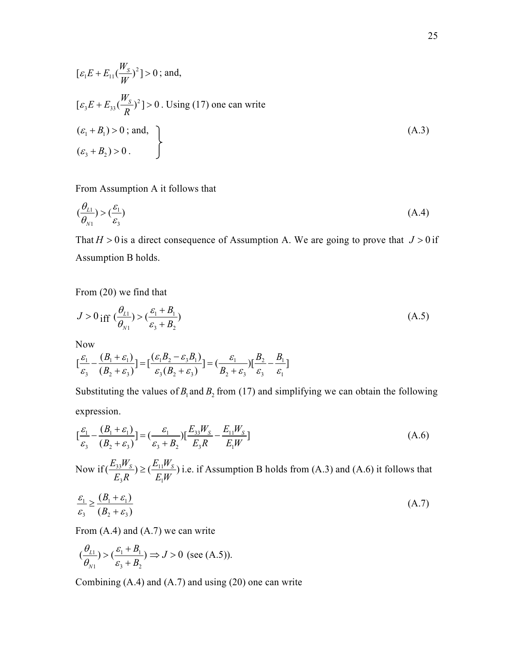$$
[\varepsilon_1 E + E_{11} (\frac{W_s}{W})^2] > 0; \text{ and,}
$$
  
\n
$$
[\varepsilon_3 E + E_{33} (\frac{W_s}{R})^2] > 0. \text{ Using (17) one can write}
$$
  
\n
$$
(\varepsilon_1 + B_1) > 0; \text{ and,}
$$
  
\n
$$
(\varepsilon_3 + B_2) > 0.
$$
 (A.3)

From Assumption A it follows that

$$
\left(\frac{\theta_{L1}}{\theta_{N1}}\right) > \left(\frac{\varepsilon_1}{\varepsilon_3}\right) \tag{A.4}
$$

That  $H > 0$  is a direct consequence of Assumption A. We are going to prove that  $J > 0$  if Assumption B holds.

From (20) we find that

$$
J > 0 \text{ iff } (\frac{\theta_{L1}}{\theta_{N1}}) > (\frac{\varepsilon_1 + B_1}{\varepsilon_3 + B_2})
$$
 (A.5)

Now

$$
\left[\frac{\varepsilon_{1}}{\varepsilon_{3}} - \frac{(B_{1} + \varepsilon_{1})}{(B_{2} + \varepsilon_{3})}\right] = \left[\frac{(\varepsilon_{1}B_{2} - \varepsilon_{3}B_{1})}{\varepsilon_{3}(B_{2} + \varepsilon_{3})}\right] = \left(\frac{\varepsilon_{1}}{B_{2} + \varepsilon_{3}}\right)\left[\frac{B_{2}}{\varepsilon_{3}} - \frac{B_{1}}{\varepsilon_{1}}\right]
$$

Substituting the values of  $B_1$  and  $B_2$  from (17) and simplifying we can obtain the following expression.

$$
\left[\frac{\varepsilon_{1}}{\varepsilon_{3}} - \frac{(B_{1} + \varepsilon_{1})}{(B_{2} + \varepsilon_{3})}\right] = \left(\frac{\varepsilon_{1}}{\varepsilon_{3} + B_{2}}\right)\left[\frac{E_{33}W_{S}}{E_{3}R} - \frac{E_{11}W_{S}}{E_{1}W}\right]
$$
\n(A.6)

Now if  $(\frac{L_{33}r}{2}) \geq (\frac{L_{11}}{2})$  $3^{\prime\prime}$   $L_1$  $(\frac{E_{33}W_s}{E_{12}R}) \geq (\frac{E_{11}W_s}{E_{12}W})$  $E_3 R$   $E_1 W$  $\geq \left(\frac{E_{11}r_s}{E_{12}}\right)$  i.e. if Assumption B holds from (A.3) and (A.6) it follows that

$$
\frac{\varepsilon_1}{\varepsilon_3} \ge \frac{(B_1 + \varepsilon_1)}{(B_2 + \varepsilon_3)}\tag{A.7}
$$

From (A.4) and (A.7) we can write

$$
(\frac{\theta_{L1}}{\theta_{N1}}) > (\frac{\varepsilon_1 + B_1}{\varepsilon_3 + B_2}) \Rightarrow J > 0 \text{ (see (A.5))}.
$$

Combining (A.4) and (A.7) and using (20) one can write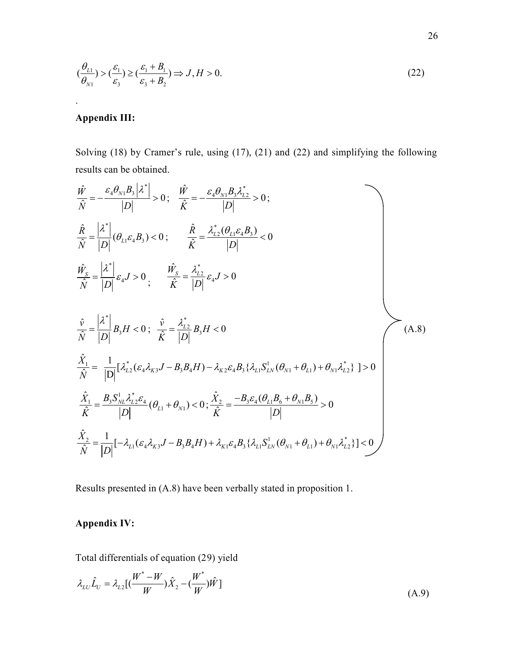$$
\left(\frac{\theta_{L1}}{\theta_{N1}}\right) > \left(\frac{\varepsilon_1}{\varepsilon_3}\right) \ge \left(\frac{\varepsilon_1 + B_1}{\varepsilon_3 + B_2}\right) \Rightarrow J, H > 0. \tag{22}
$$

# **Appendix III:**

.

Solving (18) by Cramer's rule, using (17), (21) and (22) and simplifying the following results can be obtained.

$$
\frac{\hat{W}}{\hat{N}} = -\frac{\varepsilon_4 \theta_{N1} B_3 |\lambda^*|}{|D|} > 0; \quad \frac{\hat{W}}{\hat{K}} = -\frac{\varepsilon_4 \theta_{N1} B_3 \lambda_{L2}^*}{|D|} > 0; \n\frac{\hat{R}}{\hat{N}} = \frac{|\lambda^*|}{|D|} (\theta_{L1} \varepsilon_4 B_3) < 0; \quad \frac{\hat{R}}{\hat{K}} = \frac{\lambda_{L2}^* (\theta_{L1} \varepsilon_4 B_3)}{|D|} < 0 \n\frac{\hat{W}_s}{\hat{N}} = \frac{|\lambda^*|}{|D|} \varepsilon_4 J > 0; \quad \frac{\hat{W}_s}{\hat{K}} = \frac{\lambda_{L2}^*}{|D|} \varepsilon_4 J > 0 \n\frac{\hat{V}}{\hat{N}} = \frac{|\lambda^*|}{|D|} B_3 H < 0; \quad \frac{\hat{V}}{\hat{K}} = \frac{\lambda_{L2}^*}{|D|} B_3 H < 0 \n\frac{\hat{X}_1}{\hat{N}} = \frac{1}{|D|} [\lambda_{L2}^* (\varepsilon_4 \lambda_{K3} J - B_3 B_4 H) - \lambda_{K2} \varepsilon_4 B_3 {\lambda_{L1} S_{LN}} (\theta_{N1} + \theta_{L1}) + \theta_{N1} \lambda_{L2}^* \} ] > 0 \n\frac{\hat{X}_1}{\hat{K}} = \frac{B_3 S_{NL}^1 \lambda_{L2}^* \varepsilon_4}{|D|} (\theta_{L1} + \theta_{N1}) < 0; \quad \frac{\hat{X}_2}{\hat{K}} = \frac{-B_3 \varepsilon_4 (\theta_{L1} B_6 + \theta_{N1} B_5)}{|D|} > 0 \n\frac{\hat{X}_2}{\hat{N}} = \frac{1}{|D|} [-\lambda_{L1} (\varepsilon_4 \lambda_{K3} J - B_3 B_4 H) + \lambda_{K1} \varepsilon_4 B_3 {\lambda_{L1} S_{LN}} (\theta_{N1} + \theta_{L1}) + \theta_{N1} \lambda_{L2}^* \} ] < 0
$$

Results presented in (A.8) have been verbally stated in proposition 1.

# **Appendix IV:**

Total differentials of equation (29) yield

$$
\lambda_{LU}\hat{L}_U = \lambda_{L2}[(\frac{W^* - W}{W})\hat{X}_2 - (\frac{W^*}{W})\hat{W}]
$$
\n(A.9)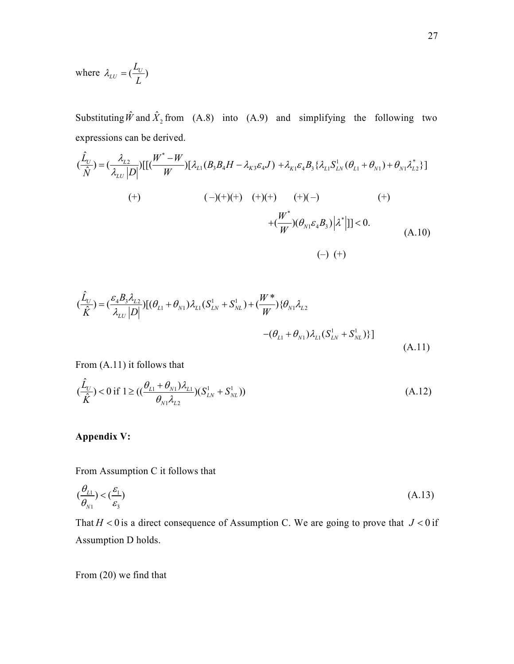where 
$$
\lambda_{LU} = \left(\frac{L_U}{L}\right)
$$

Substituting  $\hat{W}$  and  $\hat{X}_2$  from (A.8) into (A.9) and simplifying the following two expressions can be derived.

$$
(\frac{\hat{L}_{U}}{\hat{N}}) = (\frac{\lambda_{L2}}{\lambda_{LU}|D|})[[(\frac{W^* - W}{W})[\lambda_{L1}(B_3B_4H - \lambda_{K3}\varepsilon_4J) + \lambda_{K1}\varepsilon_4B_3\{\lambda_{L1}S_{LN}^1(\theta_{L1} + \theta_{N1}) + \theta_{N1}\lambda_{L2}^*\}]
$$
  
\n(+) 
$$
(-)(+)(+) (-) (+) (-) (+)
$$
  
\n(+) 
$$
+ (\frac{W^*}{W})(\theta_{N1}\varepsilon_4B_3) [\lambda^*]] < 0.
$$
  
\n(A.10)

$$
\begin{aligned}\n(\frac{\hat{L}_{U}}{\hat{K}}) &= (\frac{\varepsilon_{4}B_{3}\lambda_{L2}}{\lambda_{LU}|D|})[(\theta_{L1} + \theta_{N1})\lambda_{L1}(S_{LN}^{1} + S_{NL}^{1}) + (\frac{W^{*}}{W})\{\theta_{N1}\lambda_{L2} \\
&\quad - (\theta_{L1} + \theta_{N1})\lambda_{L1}(S_{LN}^{1} + S_{NL}^{1})\}\n\end{aligned}
$$
\n(A.11)

From (A.11) it follows that

$$
(\frac{\hat{L}_U}{\hat{K}}) < 0 \text{ if } 1 \ge ((\frac{\theta_{L1} + \theta_{N1})\lambda_{L1}}{\theta_{N1}\lambda_{L2}})(S_{LN}^1 + S_{NL}^1)) \tag{A.12}
$$

## **Appendix V:**

From Assumption C it follows that

$$
\left(\frac{\theta_{L1}}{\theta_{N1}}\right) < \left(\frac{\varepsilon_1}{\varepsilon_3}\right) \tag{A.13}
$$

That  $H < 0$  is a direct consequence of Assumption C. We are going to prove that  $J < 0$  if Assumption D holds.

From (20) we find that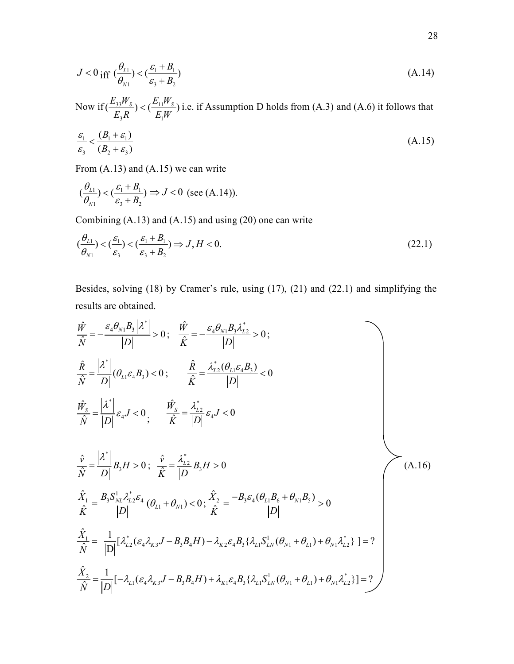$$
J < 0 \text{ iff } \left(\frac{\theta_{L1}}{\theta_{N1}}\right) < \left(\frac{\varepsilon_1 + B_1}{\varepsilon_3 + B_2}\right) \tag{A.14}
$$

Now if  $\left(\frac{L_{33}I_{1}S}{R_{12}}\right) < \left(\frac{L_{11}}{R_{11}}\right)$  $3^{11}$   $L_1$  $(\frac{E_{33}W_s}{E_{12}R}) < (\frac{E_{11}W_s}{E_{12}W})$  $E_3 R$   $E_1 W$  $\lt (\frac{L_{11}r_s}{2})$  i.e. if Assumption D holds from (A.3) and (A.6) it follows that

$$
\frac{\varepsilon_1}{\varepsilon_3} < \frac{(B_1 + \varepsilon_1)}{(B_2 + \varepsilon_3)}\tag{A.15}
$$

From (A.13) and (A.15) we can write

$$
(\frac{\theta_{L1}}{\theta_{N1}}) < (\frac{\varepsilon_1 + B_1}{\varepsilon_3 + B_2}) \Rightarrow J < 0 \text{ (see (A.14))}.
$$

Combining (A.13) and (A.15) and using (20) one can write

$$
\left(\frac{\theta_{L1}}{\theta_{N1}}\right) < \left(\frac{\varepsilon_1}{\varepsilon_3} + \frac{B_1}{\varepsilon_3 + B_2}\right) \Rightarrow J, H < 0. \tag{22.1}
$$

Besides, solving (18) by Cramer's rule, using (17), (21) and (22.1) and simplifying the results are obtained.

$$
\frac{\hat{W}}{\hat{N}} = -\frac{\varepsilon_4 \theta_{N1} B_3 | \lambda^*|}{|D|} > 0; \quad \frac{\hat{W}}{\hat{K}} = -\frac{\varepsilon_4 \theta_{N1} B_3 \lambda_{L2}^*}{|D|} > 0; \n\frac{\hat{R}}{\hat{N}} = \frac{|\lambda^*|}{|D|} (\theta_{L1} \varepsilon_4 B_3) < 0; \quad \frac{\hat{R}}{\hat{K}} = \frac{\lambda_{L2}^* (\theta_{L1} \varepsilon_4 B_3)}{|D|} < 0 \n\frac{\hat{W}_S}{\hat{N}} = \frac{|\lambda^*|}{|D|} \varepsilon_4 J < 0; \quad \frac{\hat{W}_S}{\hat{K}} = \frac{\lambda_{L2}^*}{|D|} \varepsilon_4 J < 0 \n\frac{\hat{V}}{\hat{N}} = \frac{|\lambda^*|}{|D|} B_3 H > 0; \quad \frac{\hat{V}}{\hat{K}} = \frac{\lambda_{L2}^*}{|D|} B_3 H > 0 \n\frac{\hat{X}_1}{\hat{N}} = \frac{B_3 S_{NL}^1 \lambda_{L2}^* \varepsilon_4}{|D|} (\theta_{L1} + \theta_{N1}) < 0; \frac{\hat{X}_2}{\hat{K}} = \frac{-B_3 \varepsilon_4 (\theta_{L1} B_6 + \theta_{N1} B_5)}{|D|} > 0 \n\frac{\hat{X}_1}{\hat{N}} = \frac{1}{|D|} [\lambda_{L2}^* (\varepsilon_4 \lambda_{K3} J - B_3 B_4 H) - \lambda_{K2} \varepsilon_4 B_3 {\lambda_{L1} S_{LN}^1 (\theta_{N1} + \theta_{L1}) + \theta_{N1} \lambda_{L2}^* } ] = ? \n\frac{\hat{X}_2}{\hat{N}} = \frac{1}{|D|} [-\lambda_{L1} (\varepsilon_4 \lambda_{K3} J - B_3 B_4 H) + \lambda_{K1} \varepsilon_4 B_3 {\lambda_{L1} S_{LN}^1 (\theta_{N1} + \theta_{L1}) + \theta_{N1} \lambda_{L2}^* } ] = ?
$$